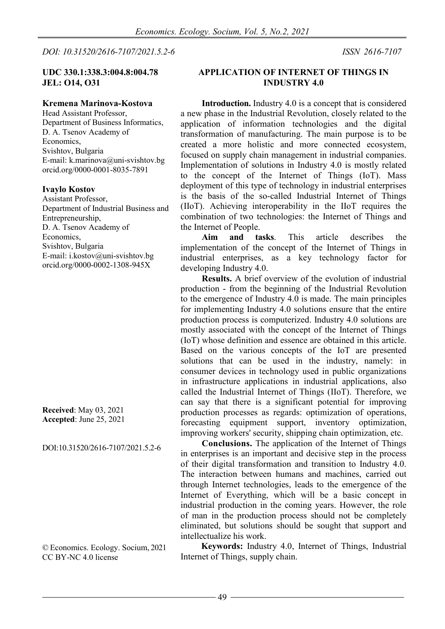*DOI: 10.31520/2616-7107/2021.5.2-6 ISSN [2616-7107](https://portal.issn.org/resource/issn/2616-7107)*

# **UDC 330.1:338.3:004.8:004.78 JEL: O14, O31**

#### **Kremena Marinova-Kostova**

Head Assistant Professor, Department of Business Informatics, D. A. Tsenov Academy of Economics, Svishtov, Bulgaria E-mail: k.marinova@uni-svishtov.bg [orcid.org/0000-0001-8035-7891](https://l.facebook.com/l.php?u=http%3A%2F%2Forcid.org%2F0000-0001-8035-7891%3Ffbclid%3DIwAR1u6HV81gEVv5es5M8QqGgJ9iIRc2XteqKvSLvryxMmAuI64tO-f4M_nww&h=AT2kK8myjqK7g-Zt3foX56PD3EM7A4EeFy62ZnFJeWmCpTk-BPzYP7LYpTQyHy1mSAa0zNU5XxzSKcXXaE6Tx84bHzPWQSmFmIKi-miHJuCTwv4oDWGM6-5GaMWxOFoJqNA)

#### **Ivaylo Kostov**

Assistant Professor, Department of Industrial Business and Entrepreneurship, D. A. Tsenov Academy of Economics, Svishtov, Bulgaria E-mail: i.kostov@uni-svishtov.bg [orcid.org/0000-0002-1308-945X](https://l.facebook.com/l.php?u=https%3A%2F%2Forcid.org%2F0000-0002-1308-945X%3Ffbclid%3DIwAR3mXrt9FIrKyRwUl_t-1HWv1GoTEdnANtPx0z6jKsr_NRHVUb_69SL0TNs&h=AT2kK8myjqK7g-Zt3foX56PD3EM7A4EeFy62ZnFJeWmCpTk-BPzYP7LYpTQyHy1mSAa0zNU5XxzSKcXXaE6Tx84bHzPWQSmFmIKi-miHJuCTwv4oDWGM6-5GaMWxOFoJqNA)

**Received**: May 03, 2021 **Accepted**: June 25, 2021

DOI:10.31520/2616-7107/2021.5.2-6

© Economics. Ecology. Socium, 2021 [CC BY-NC](http://creativecommons.org/licenses/by-nc-nd/4.0/) 4.0 license

#### **APPLICATION OF INTERNET OF THINGS IN INDUSTRY 4.0**

**Introduction.** Industry 4.0 is a concept that is considered a new phase in the Industrial Revolution, closely related to the application of information technologies and the digital transformation of manufacturing. The main purpose is to be created a more holistic and more connected ecosystem, focused on supply chain management in industrial companies. Implementation of solutions in Industry 4.0 is mostly related to the concept of the Internet of Things (IoT). Mass deployment of this type of technology in industrial enterprises is the basis of the so-called Industrial Internet of Things (IIoT). Achieving interoperability in the IIoT requires the combination of two technologies: the Internet of Things and the Internet of People.

**Aim and tasks**. This article describes the implementation of the concept of the Internet of Things in industrial enterprises, as a key technology factor for developing Industry 4.0.

**Results.** A brief overview of the evolution of industrial production - from the beginning of the Industrial Revolution to the emergence of Industry 4.0 is made. The main principles for implementing Industry 4.0 solutions ensure that the entire production process is computerized. Industry 4.0 solutions are mostly associated with the concept of the Internet of Things (IoT) whose definition and essence are obtained in this article. Based on the various concepts of the IoT are presented solutions that can be used in the industry, namely: in consumer devices in technology used in public organizations in infrastructure applications in industrial applications, also called the Industrial Internet of Things (IIoT). Therefore, we can say that there is a significant potential for improving production processes as regards: optimization of operations, forecasting equipment support, inventory optimization, improving workers' security, shipping chain optimization, etc.

**Conclusions.** The application of the Internet of Things in enterprises is an important and decisive step in the process of their digital transformation and transition to Industry 4.0. The interaction between humans and machines, carried out through Internet technologies, leads to the emergence of the Internet of Everything, which will be a basic concept in industrial production in the coming years. However, the role of man in the production process should not be completely eliminated, but solutions should be sought that support and intellectualize his work.

**Keywords:** Industry 4.0, Internet of Things, Industrial Internet of Things, supply chain.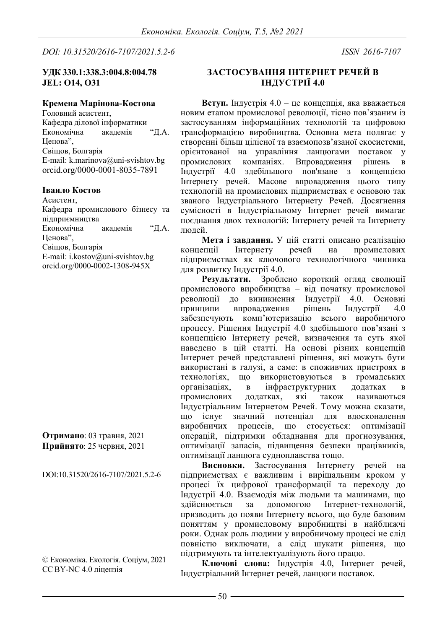*DOI: 10.31520/2616-7107/2021.5.2-6 ISSN [2616-7107](https://portal.issn.org/resource/issn/2616-7107)*

# **УДК 330.1:338.3:004.8:004.78 JEL: O14, O31**

# **Кремена Марінова-Костова**

Головний асистент, Кафедра ділової інформатики Економічна академія "Д.А. Ценова", Свіщов, Болгарія E-mail: k.marinova@uni-svishtov.bg [orcid.org/0000-0001-8035-7891](https://l.facebook.com/l.php?u=http%3A%2F%2Forcid.org%2F0000-0001-8035-7891%3Ffbclid%3DIwAR1u6HV81gEVv5es5M8QqGgJ9iIRc2XteqKvSLvryxMmAuI64tO-f4M_nww&h=AT2kK8myjqK7g-Zt3foX56PD3EM7A4EeFy62ZnFJeWmCpTk-BPzYP7LYpTQyHy1mSAa0zNU5XxzSKcXXaE6Tx84bHzPWQSmFmIKi-miHJuCTwv4oDWGM6-5GaMWxOFoJqNA)

#### **Іваило Костов**

Асистент, Кафедра промислового бізнесу та підприємництва Економічна академія "Д.А. Ценова", Свіщов, Болгарія E-mail: i.kostov@uni-svishtov.bg [orcid.org/0000-0002-1308-945X](https://l.facebook.com/l.php?u=https%3A%2F%2Forcid.org%2F0000-0002-1308-945X%3Ffbclid%3DIwAR3mXrt9FIrKyRwUl_t-1HWv1GoTEdnANtPx0z6jKsr_NRHVUb_69SL0TNs&h=AT2kK8myjqK7g-Zt3foX56PD3EM7A4EeFy62ZnFJeWmCpTk-BPzYP7LYpTQyHy1mSAa0zNU5XxzSKcXXaE6Tx84bHzPWQSmFmIKi-miHJuCTwv4oDWGM6-5GaMWxOFoJqNA)

**Отримано**: 03 травня, 2021 **Прийнято**: 25 червня, 2021

DOI:10.31520/2616-7107/2021.5.2-6

© Економіка. Екологія. Соціум, 2021 CC BY-NC 4.0 ліцензія

#### **ЗАСТОСУВАННЯ ІНТЕРНЕТ РЕЧЕЙ В ІНДУСТРІЇ 4.0**

**Вступ.** Індустрія 4.0 – це концепція, яка вважається новим етапом промислової революції, тісно пов'язаним із застосуванням інформаційних технологій та цифровою трансформацією виробництва. Основна мета полягає у створенні більш цілісної та взаємопозв'язаної екосистеми, орієнтованої на управління ланцюгами поставок у промислових компаніях. Впровадження рішень в Індустрії 4.0 здебільшого пов'язане з концепцією Інтернету речей. Масове впровадження цього типу технологій на промислових підприємствах є основою так званого Індустріального Інтернету Речей. Досягнення сумісності в Індустріальному Інтернет речей вимагає поєднання двох технологій: Інтернету речей та Інтернету людей.

**Мета і завдання.** У цій статті описано реалізацію промислових підприємствах як ключового технологічного чинника для розвитку Індустрії 4.0.

**Результати.** Зроблено короткий огляд еволюції промислового виробництва – від початку промислової<br>революції до виникнення Індустрії 4.0. Основні до виникнення Індустрії 4.0. Основні принципи впровадження рішень Індустрії 4.0 забезпечують комп'ютеризацію всього виробничого процесу. Рішення Індустрії 4.0 здебільшого пов'язані з концепцією Інтернету речей, визначення та суть якої наведено в цій статті. На основі різних концепцій Інтернет речей представлені рішення, які можуть бути використані в галузі, а саме: в споживчих пристроях в технологіях, що використовуються в громадських організаціях, в інфраструктурних додатках в промислових додатках, які також називаються Індустріальним Інтернетом Речей. Тому можна сказати, що існує значний потенціал для вдосконалення виробничих процесів, що стосується: оптимізації операцій, підтримки обладнання для прогнозування, оптимізації запасів, підвищення безпеки працівників, оптимізації ланцюга судноплавства тощо.

**Висновки.** Застосування Інтернету речей на підприємствах є важливим і вирішальним кроком у процесі їх цифрової трансформації та переходу до Індустрії 4.0. Взаємодія між людьми та машинами, що здійснюється за допомогою Інтернет-технологій, призводить до появи Інтернету всього, що буде базовим поняттям у промисловому виробництві в найближчі роки. Однак роль людини у виробничому процесі не слід повністю виключати, а слід шукати рішення, що підтримують та інтелектуалізують його працю.

**Ключові слова:** Індустрія 4.0, Інтернет речей, Індустріальний Інтернет речей, ланцюги поставок.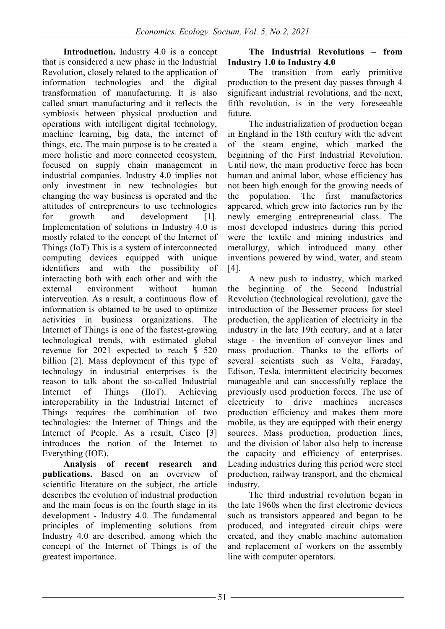**Introduction.** Industry 4.0 is a concept that is considered a new phase in the Industrial Revolution, closely related to the application of information technologies and the digital transformation of manufacturing. It is also called smart manufacturing and it reflects the symbiosis between physical production and operations with intelligent digital technology, machine learning, big data, the internet of things, etc. The main purpose is to be created a more holistic and more connected ecosystem, focused on supply chain management in industrial companies. Industry 4.0 implies not only investment in new technologies but changing the way business is operated and the attitudes of entrepreneurs to use technologies for growth and development [1]. Implementation of solutions in Industry 4.0 is mostly related to the concept of the Internet of Things (IoT) This is a system of interconnected computing devices equipped with unique identifiers and with the possibility of interacting both with each other and with the external environment without human intervention. As a result, a continuous flow of information is obtained to be used to optimize activities in business organizations. The Internet of Things is one of the fastest-growing technological trends, with estimated global revenue for 2021 expected to reach \$ 520 billion [2]. Mass deployment of this type of technology in industrial enterprises is the reason to talk about the so-called Industrial Internet of Things (IIoT). Achieving interoperability in the Industrial Internet of Things requires the combination of two technologies: the Internet of Things and the Internet of People. As a result, Cisco [3] introduces the notion of the Internet to Everything (IOE).

**Analysis of recent research and publications.** Based on an overview of scientific literature on the subject, the article describes the evolution of industrial production and the main focus is on the fourth stage in its development - Industry 4.0. The fundamental principles of implementing solutions from Industry 4.0 are described, among which the concept of the Internet of Things is of the greatest importance.

# **The Industrial Revolutions – from Industry 1.0 to Industry 4.0**

The transition from early primitive production to the present day passes through 4 significant industrial revolutions, and the next, fifth revolution, is in the very foreseeable future.

The industrialization of production began in England in the 18th century with the advent of the steam engine, which marked the beginning of the First Industrial Revolution. Until now, the main productive force has been human and animal labor, whose efficiency has not been high enough for the growing needs of the population. The first manufactories appeared, which grew into factories run by the newly emerging entrepreneurial class. The most developed industries during this period were the textile and mining industries and metallurgy, which introduced many other inventions powered by wind, water, and steam [4].

A new push to industry, which marked the beginning of the Second Industrial Revolution (technological revolution), gave the introduction of the Bessemer process for steel production, the application of electricity in the industry in the late 19th century, and at a later stage - the invention of conveyor lines and mass production. Thanks to the efforts of several scientists such as Volta, Faraday, Edison, Tesla, intermittent electricity becomes manageable and can successfully replace the previously used production forces. The use of electricity to drive machines increases production efficiency and makes them more mobile, as they are equipped with their energy sources. Mass production, production lines, and the division of labor also help to increase the capacity and efficiency of enterprises. Leading industries during this period were steel production, railway transport, and the chemical industry.

The third industrial revolution began in the late 1960s when the first electronic devices such as transistors appeared and began to be produced, and integrated circuit chips were created, and they enable machine automation and replacement of workers on the assembly line with computer operators.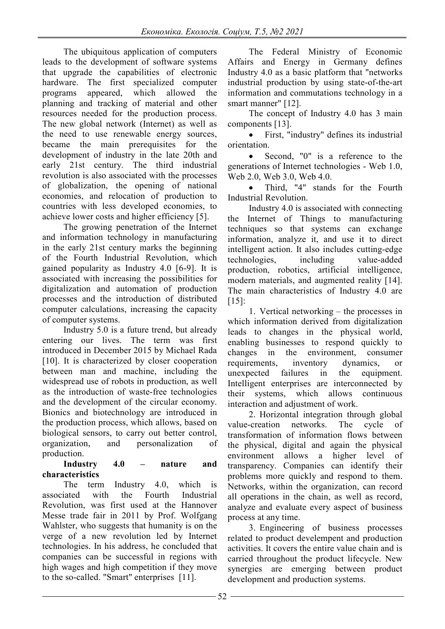The ubiquitous application of computers leads to the development of software systems that upgrade the capabilities of electronic hardware. The first specialized computer programs appeared, which allowed the planning and tracking of material and other resources needed for the production process. The new global network (Internet) as well as the need to use renewable energy sources, became the main prerequisites for the development of industry in the late 20th and early 21st century. The third industrial revolution is also associated with the processes of globalization, the opening of national economies, and relocation of production to countries with less developed economies, to achieve lower costs and higher efficiency [5].

The growing penetration of the Internet and information technology in manufacturing in the early 21st century marks the beginning of the Fourth Industrial Revolution, which gained popularity as Industry 4.0 [6-9]. It is associated with increasing the possibilities for digitalization and automation of production processes and the introduction of distributed computer calculations, increasing the capacity of computer systems.

Industry 5.0 is a future trend, but already entering our lives. The term was first introduced in December 2015 by Michael Rada [10]. It is characterized by closer cooperation between man and machine, including the widespread use of robots in production, as well as the introduction of waste-free technologies and the development of the circular economy. Bionics and biotechnology are introduced in the production process, which allows, based on biological sensors, to carry out better control, organization, and personalization of production.

# **Industry 4.0 – nature and characteristics**

The term Industry 4.0, which is associated with the Fourth Industrial Revolution, was first used at the Hannover Messe trade fair in 2011 by Prof. Wolfgang Wahlster, who suggests that humanity is on the verge of a new revolution led by Internet technologies. In his address, he concluded that companies can be successful in regions with high wages and high competition if they move to the so-called. "Smart" enterprises [11].

The Federal Ministry of Economic Affairs and Energy in Germany defines Industry 4.0 as a basic platform that "networks industrial production by using state-of-the-art information and commutations technology in a smart manner" [12].

The concept of Industry 4.0 has 3 main components [13].

• First, "industry" defines its industrial orientation.

Second, "0" is a reference to the generations of Internet technologies - Web 1.0, Web 2.0, Web 3.0, Web 4.0.

• Third, "4" stands for the Fourth Industrial Revolution.

Industry 4.0 is associated with connecting the Internet of Things to manufacturing techniques so that systems can exchange information, analyze it, and use it to direct intelligent action. It also includes cutting-edge technologies, including value-added production, robotics, artificial intelligence, modern materials, and augmented reality [14]. The main characteristics of Industry 4.0 are  $[15]$ :

1. Vertical networking – the processes in which information derived from digitalization leads to changes in the physical world, enabling businesses to respond quickly to changes in the environment, consumer requirements, inventory dynamics, or unexpected failures in the equipment. Intelligent enterprises are interconnected by their systems, which allows continuous interaction and adjustment of work.

2. Horizontal integration through global value-creation networks. The cycle of transformation of information flows between the physical, digital and again the physical environment allows a higher level of transparency. Companies can identify their problems more quickly and respond to them. Networks, within the organization, can record all operations in the chain, as well as record, analyze and evaluate every aspect of business process at any time.

3. Engineering of business processes related to product develempent and production activities. It covers the entire value chain and is carried throughout the product lifecycle. New synergies are emerging between product development and production systems.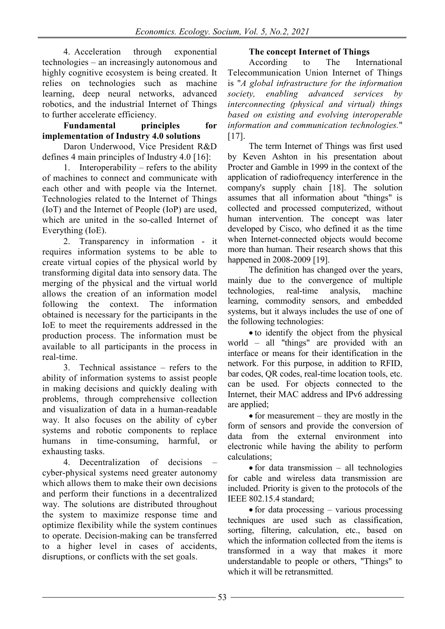4. Acceleration through exponential technologies – an increasingly autonomous and highly cognitive ecosystem is being created. It relies on technologies such as machine learning, deep neural networks, advanced robotics, and the industrial Internet of Things to further accelerate efficiency.

# **Fundamental principles for implementation of Industry 4.0 solutions**

Daron Underwood, Vice President R&D defines 4 main principles of Industry 4.0 [16]:

1. Interoperability – refers to the ability of machines to connect and communicate with each other and with people via the Internet. Technologies related to the Internet of Things (IoT) and the Internet of People (IoP) are used, which are united in the so-called Internet of Everything (IoE).

2. Transparency in information - it requires information systems to be able to create virtual copies of the physical world by transforming digital data into sensory data. The merging of the physical and the virtual world allows the creation of an information model following the context. The information obtained is necessary for the participants in the IoE to meet the requirements addressed in the production process. The information must be available to all participants in the process in real-time.

3. Technical assistance – refers to the ability of information systems to assist people in making decisions and quickly dealing with problems, through comprehensive collection and visualization of data in a human-readable way. It also focuses on the ability of cyber systems and robotic components to replace humans in time-consuming, harmful, or exhausting tasks.

4. Decentralization of decisions – cyber-physical systems need greater autonomy which allows them to make their own decisions and perform their functions in a decentralized way. The solutions are distributed throughout the system to maximize response time and optimize flexibility while the system continues to operate. Decision-making can be transferred to a higher level in cases of accidents, disruptions, or conflicts with the set goals.

# **The concept Internet of Things**<br>According to The Inter

According to The International Telecommunication Union Internet of Things is "*A global infrastructure for the information society, enabling advanced services by interconnecting (physical and virtual) things based on existing and evolving interoperable information and communication technologies.*"  $[17]$ .

The term Internet of Things was first used by Keven Ashton in his presentation about Procter and Gamble in 1999 in the context of the application of radiofrequency interference in the company's supply chain [18]. The solution assumes that all information about "things" is collected and processed computerized, without human intervention. The concept was later developed by Cisco, who defined it as the time when Internet-connected objects would become more than human. Their research shows that this happened in 2008-2009 [19].

The definition has changed over the years, mainly due to the convergence of multiple<br>technologies, real-time analysis, machine technologies, real-time analysis, machine learning, commodity sensors, and embedded systems, but it always includes the use of one of the following technologies:

• to identify the object from the physical world – all "things" are provided with an interface or means for their identification in the network. For this purpose, in addition to RFID, bar codes, QR codes, real-time location tools, etc. can be used. For objects connected to the Internet, their MAC address and IPv6 addressing are applied;

• for measurement – they are mostly in the form of sensors and provide the conversion of data from the external environment into electronic while having the ability to perform calculations;

• for data transmission – all technologies for cable and wireless data transmission are included. Priority is given to the protocols of the IEEE 802.15.4 standard;

• for data processing – various processing techniques are used such as classification, sorting, filtering, calculation, etc., based on which the information collected from the items is transformed in a way that makes it more understandable to people or others, "Things" to which it will be retransmitted.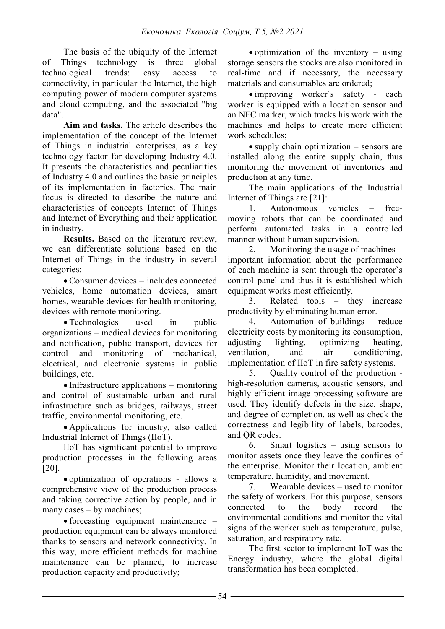The basis of the ubiquity of the Internet<br>Things technology is three global of Things technology is three global technological trends: easy access to connectivity, in particular the Internet, the high computing power of modern computer systems and cloud computing, and the associated "big data".

**Aim and tasks.** The article describes the implementation of the concept of the Internet of Things in industrial enterprises, as a key technology factor for developing Industry 4.0. It presents the characteristics and peculiarities of Industry 4.0 and outlines the basic principles of its implementation in factories. The main focus is directed to describe the nature and characteristics of concepts Internet of Things and Internet of Everything and their application in industry.

**Results.** Based on the literature review, we can differentiate solutions based on the Internet of Things in the industry in several categories:

• Consumer devices – includes connected vehicles, home automation devices, smart homes, wearable devices for health monitoring, devices with remote monitoring.

• Technologies used in public organizations – medical devices for monitoring and notification, public transport, devices for control and monitoring of mechanical, electrical, and electronic systems in public buildings, etc.

• Infrastructure applications – monitoring and control of sustainable urban and rural infrastructure such as bridges, railways, street traffic, environmental monitoring, etc.

• Applications for industry, also called Industrial Internet of Things (IIoT).

IIoT has significant potential to improve production processes in the following areas [20].

• optimization of operations - allows a comprehensive view of the production process and taking corrective action by people, and in many cases – by machines;

• forecasting equipment maintenance – production equipment can be always monitored thanks to sensors and network connectivity. In this way, more efficient methods for machine maintenance can be planned, to increase production capacity and productivity;

• optimization of the inventory – using storage sensors the stocks are also monitored in real-time and if necessary, the necessary materials and consumables are ordered;

• improving worker`s safety - each worker is equipped with a location sensor and an NFC marker, which tracks his work with the machines and helps to create more efficient work schedules;

• supply chain optimization – sensors are installed along the entire supply chain, thus monitoring the movement of inventories and production at any time.

The main applications of the Industrial Internet of Things are [21]:

1. Autonomous vehicles – freemoving robots that can be coordinated and perform automated tasks in a controlled manner without human supervision.

2. Monitoring the usage of machines – important information about the performance of each machine is sent through the operator`s control panel and thus it is established which equipment works most efficiently.

3. Related tools – they increase productivity by eliminating human error.

4. Automation of buildings – reduce electricity costs by monitoring its consumption, adjusting lighting, optimizing heating, ventilation, and air conditioning, implementation of IIoT in fire safety systems.

5. Quality control of the production high-resolution cameras, acoustic sensors, and highly efficient image processing software are used. They identify defects in the size, shape, and degree of completion, as well as check the correctness and legibility of labels, barcodes, and QR codes.

6. Smart logistics – using sensors to monitor assets once they leave the confines of the enterprise. Monitor their location, ambient temperature, humidity, and movement.

7. Wearable devices – used to monitor the safety of workers. For this purpose, sensors connected to the body record the environmental conditions and monitor the vital signs of the worker such as temperature, pulse, saturation, and respiratory rate.

The first sector to implement IoT was the Energy industry, where the global digital transformation has been completed.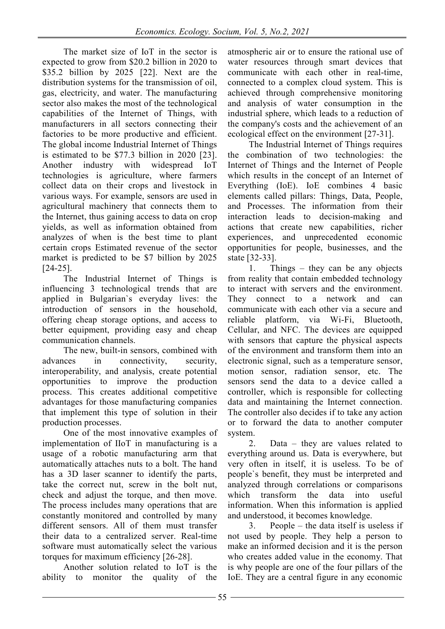The market size of IoT in the sector is expected to grow from \$20.2 billion in 2020 to \$35.2 billion by 2025 [22]. Next are the distribution systems for the transmission of oil, gas, electricity, and water. The manufacturing sector also makes the most of the technological capabilities of the Internet of Things, with manufacturers in all sectors connecting their factories to be more productive and efficient. The global income Industrial Internet of Things is estimated to be \$77.3 billion in 2020 [23]. Another industry with widespread IoT technologies is agriculture, where farmers collect data on their crops and livestock in various ways. For example, sensors are used in agricultural machinery that connects them to the Internet, thus gaining access to data on crop yields, as well as information obtained from analyzes of when is the best time to plant certain crops Estimated revenue of the sector market is predicted to be \$7 billion by 2025 [24-25].

The Industrial Internet of Things is influencing 3 technological trends that are applied in Bulgarian`s everyday lives: the introduction of sensors in the household, offering cheap storage options, and access to better equipment, providing easy and cheap communication channels.

The new, built-in sensors, combined with advances in connectivity, security, interoperability, and analysis, create potential opportunities to improve the production process. This creates additional competitive advantages for those manufacturing companies that implement this type of solution in their production processes.

One of the most innovative examples of implementation of IIoT in manufacturing is a usage of a robotic manufacturing arm that automatically attaches nuts to a bolt. The hand has a 3D laser scanner to identify the parts, take the correct nut, screw in the bolt nut, check and adjust the torque, and then move. The process includes many operations that are constantly monitored and controlled by many different sensors. All of them must transfer their data to a centralized server. Real-time software must automatically select the various torques for maximum efficiency [26-28].

Another solution related to IoT is the ability to monitor the quality of the atmospheric air or to ensure the rational use of water resources through smart devices that communicate with each other in real-time, connected to a complex cloud system. This is achieved through comprehensive monitoring and analysis of water consumption in the industrial sphere, which leads to a reduction of the company's costs and the achievement of an ecological effect on the environment [27-31].

The Industrial Internet of Things requires the combination of two technologies: the Internet of Things and the Internet of People which results in the concept of an Internet of Everything (IoE). IoЕ combines 4 basic elements called pillars: Things, Data, People, and Processes. The information from their interaction leads to decision-making and actions that create new capabilities, richer experiences, and unprecedented economic opportunities for people, businesses, and the state [32-33].

1. Things – they can be any objects from reality that contain embedded technology to interact with servers and the environment. They connect to a network and can communicate with each other via a secure and reliable platform, via Wi-Fi, Bluetooth, Cellular, and NFC. The devices are equipped with sensors that capture the physical aspects of the environment and transform them into an electronic signal, such as a temperature sensor, motion sensor, radiation sensor, etc. The sensors send the data to a device called a controller, which is responsible for collecting data and maintaining the Internet connection. The controller also decides if to take any action or to forward the data to another computer system.

2. Data – they are values related to everything around us. Data is everywhere, but very often in itself, it is useless. To be of people`s benefit, they must be interpreted and analyzed through correlations or comparisons which transform the data into useful information. When this information is applied and understood, it becomes knowledge.

3. People – the data itself is useless if not used by people. They help a person to make an informed decision and it is the person who creates added value in the economy. That is why people are one of the four pillars of the IoE. They are a central figure in any economic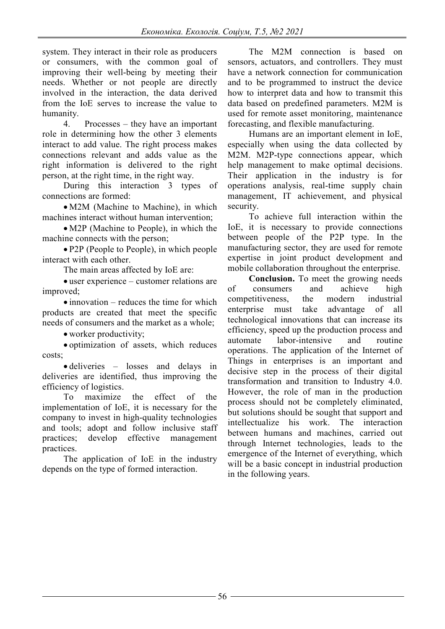system. They interact in their role as producers or consumers, with the common goal of improving their well-being by meeting their needs. Whether or not people are directly involved in the interaction, the data derived from the IoE serves to increase the value to humanity.

4. Processes – they have an important role in determining how the other 3 elements interact to add value. The right process makes connections relevant and adds value as the right information is delivered to the right person, at the right time, in the right way.

During this interaction 3 types of connections are formed:

• M2M (Machine to Machine), in which machines interact without human intervention;

• M2P (Machine to People), in which the machine connects with the person;

• P2P (People to People), in which people interact with each other.

The main areas affected by IoE are:

• user experience – customer relations are improved;

• innovation – reduces the time for which products are created that meet the specific needs of consumers and the market as a whole;

• worker productivity;

• optimization of assets, which reduces costs;

• deliveries – losses and delays in deliveries are identified, thus improving the efficiency of logistics.

To maximize the effect of the implementation of IoE, it is necessary for the company to invest in high-quality technologies and tools; adopt and follow inclusive staff practices; develop effective management practices.

The application of IoE in the industry depends on the type of formed interaction.

The M2M connection is based on sensors, actuators, and controllers. They must have a network connection for communication and to be programmed to instruct the device how to interpret data and how to transmit this data based on predefined parameters. M2M is used for remote asset monitoring, maintenance forecasting, and flexible manufacturing.

Humans are an important element in IoE, especially when using the data collected by M2M. M2P-type connections appear, which help management to make optimal decisions. Their application in the industry is for operations analysis, real-time supply chain management, IT achievement, and physical security.

To achieve full interaction within the IoE, it is necessary to provide connections between people of the P2P type. In the manufacturing sector, they are used for remote expertise in joint product development and mobile collaboration throughout the enterprise.

**Conclusion.** To meet the growing needs of consumers and achieve high<br>competitiveness, the modern industrial competitiveness, the modern industrial enterprise must take advantage of all technological innovations that can increase its efficiency, speed up the production process and automate labor-intensive and routine operations. The application of the Internet of Things in enterprises is an important and decisive step in the process of their digital transformation and transition to Industry 4.0. However, the role of man in the production process should not be completely eliminated, but solutions should be sought that support and intellectualize his work. The interaction between humans and machines, carried out through Internet technologies, leads to the emergence of the Internet of everything, which will be a basic concept in industrial production in the following years.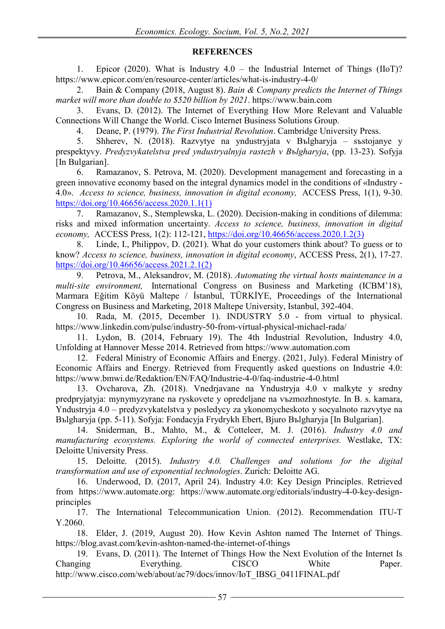# **REFERENCES**

1. Epicor (2020). What is Industry 4.0 – the Industrial Internet of Things (IIoT)? https://www.epicor.com/en/resource-center/articles/what-is-industry-4-0/

2. Bain & Company (2018, August 8). *Bain & Company predicts the Internet of Things market will more than double to \$520 billion by 2021*. https://www.bain.com

3. Evans, D. (2012). The Internet of Everything How More Relevant and Valuable Connections Will Change the World. Cisco Internet Business Solutions Group.

4. Deane, P. (1979). *The First Industrial Revolution*. Cambridge University Press.

5. Shherev, N. (2018). Razvytye na yndustryjata v Bъlgharyja – sъstojanye y prespektyvy. *Predyzvykatelstva pred yndustryalnyja rastezh v Bъlgharyja*, (pp. 13-23). Sofyja [In Bulgarian].

6. Ramazanov, S. Petrova, M. (2020). Development management and forecasting in a green innovative economy based on the integral dynamics model in the conditions of «Industry - 4.0». *Access to science, business, innovation in digital economy,* ACCESS Press, 1(1), 9-30. [https://doi.org/10.46656/access.2020.1.1\(1\)](https://doi.org/10.46656/access.2020.1.1(1))

7. Ramazanov, S., Stemplewska, L. (2020). Decision-making in conditions of dilemma: risks and mixed information uncertainty. *Access to science, business, innovation in digital economy,* ACCESS Press, 1(2): 112-121, [https://doi.org/10.46656/access.2020.1.2\(3\)](https://doi.org/10.46656/access.2020.1.2(3))

8. Linde, I., Philippov, D. (2021). What do your customers think about? To guess or to know? *Access to science, business, innovation in digital economy*, ACCESS Press, 2(1), 17-27. [https://doi.org/10.46656/access.2021.2.1\(2\)](https://doi.org/10.46656/access.2021.2.1(2))

9. Petrova, М., Aleksandrov, М. (2018). *Automating the virtual hosts maintenance in a multi-site environment,* International Congress on Business and Marketing (ICBM'18), Marmara Eğitim Köyü Maltepe / İstanbul, TÜRKİYE, Proceedings of the International Congress on Business and Marketing, 2018 Maltepe University, Istanbul, 392-404.

10. Rada, M. (2015, December 1). INDUSTRY 5.0 - from virtual to physical. https://www.linkedin.com/pulse/industry-50-from-virtual-physical-michael-rada/

11. Lydon, B. (2014, February 19). The 4th Industrial Revolution, Industry 4.0, Unfolding at Hannover Messe 2014. Retrieved from https://www.automation.com

12. Federal Ministry of Economic Affairs and Energy. (2021, July). Federal Ministry of Economic Affairs and Energy. Retrieved from Frequently asked questions on Industrie 4.0: https://www.bmwi.de/Redaktion/EN/FAQ/Industrie-4-0/faq-industrie-4-0.html

13. Ovcharova, Zh. (2018). Vnedrjavane na Yndustryja 4.0 v malkyte y sredny predpryjatyja: mynymyzyrane na ryskovete y opredeljane na vъzmozhnostyte. In B. s. kamara, Yndustryja 4.0 – predyzvykatelstva y posledycy za ykonomycheskoto y socyalnoto razvytye na Bъlgharyja (pp. 5-11). Sofyja: Fondacyja Frydrykh Ebert, Bjuro Bъlgharyja [In Bulgarian].

14. Sniderman, B., Mahto, M., & Cotteleer, M. J. (2016). *Industry 4.0 and manufacturing ecosystems. Exploring the world of connected enterprises.* Westlake, TX: Deloitte University Press.

15. Deloitte. (2015). *Industry 4.0. Challenges and solutions for the digital transformation and use of exponential technologies*. Zurich: Deloitte AG.

16. Underwood, D. (2017, April 24). Industry 4.0: Key Design Principles. Retrieved from https://www.automate.org: https://www.automate.org/editorials/industry-4-0-key-designprinciples

17. The International Telecommunication Union. (2012). Recommendation ITU-T Y.2060.

18. Elder, J. (2019, August 20). How Kevin Ashton named The Internet of Things. https://blog.avast.com/kevin-ashton-named-the-internet-of-things

19. Evans, D. (2011). The Internet of Things How the Next Evolution of the Internet Is Changing Everything. CISCO White Paper. http://www.cisco.com/web/about/ac79/docs/innov/IoT\_IBSG\_0411FINAL.pdf